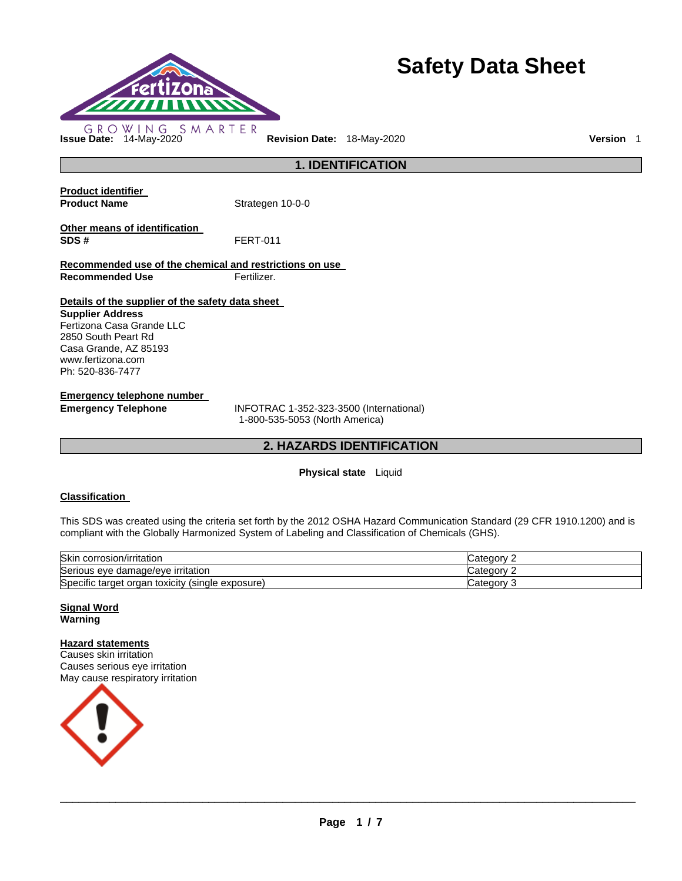

# **Safety Data Sheet**

# **1. IDENTIFICATION**

| <b>Product identifier</b><br><b>Product Name</b>                            | Strategen 10-0-0 |  |
|-----------------------------------------------------------------------------|------------------|--|
| Other means of identification<br>SDS#                                       | <b>FERT-011</b>  |  |
| Recommended use of the chemical and restrictions on use                     |                  |  |
| <b>Recommended Use</b>                                                      | Fertilizer.      |  |
| Details of the supplier of the safety data sheet<br><b>Supplier Address</b> |                  |  |

Fertizona Casa Grande LLC 2850 South Peart Rd Casa Grande, AZ 85193 www.fertizona.com Ph: 520-836-7477

**Emergency telephone number** 

**Emergency Telephone** INFOTRAC 1-352-323-3500 (International) 1-800-535-5053 (North America)

# **2. HAZARDS IDENTIFICATION**

# **Physical state** Liquid

# **Classification**

This SDS was created using the criteria set forth by the 2012 OSHA Hazard Communication Standard (29 CFR 1910.1200) and is compliant with the Globally Harmonized System of Labeling and Classification of Chemicals (GHS).

| Skin corrosion/irritation                                     | ′ ategory۔        |
|---------------------------------------------------------------|-------------------|
| Serious eye damage/eye irritation                             | َ atedory:        |
| Specific target<br>toxicity<br>(single)<br>exposure)<br>organ | ∵ategoryٽ<br>- 12 |

#### **Signal Word Warning**

# **Hazard statements**

Causes skin irritation Causes serious eye irritation May cause respiratory irritation

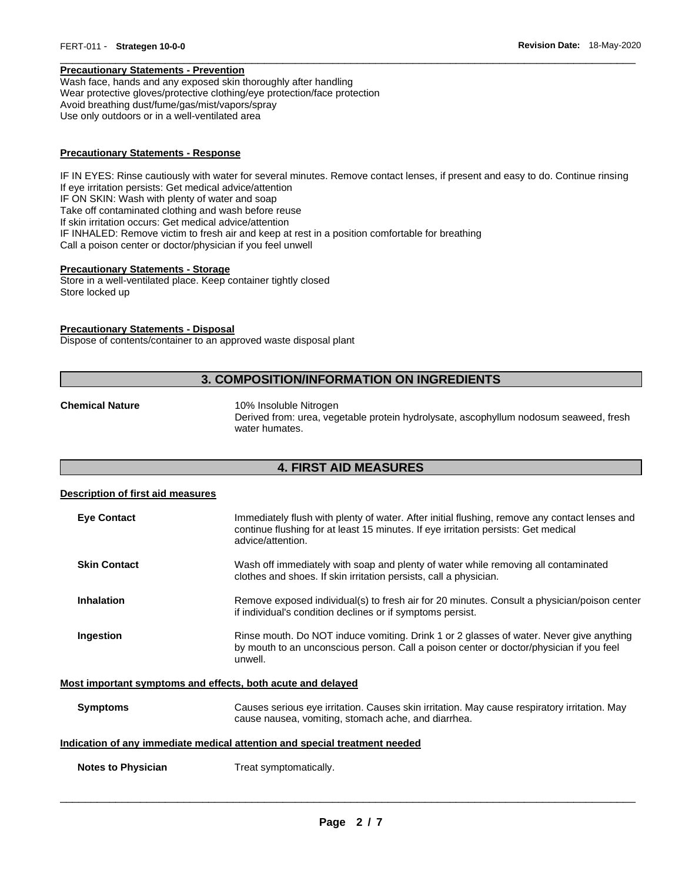#### **Precautionary Statements - Prevention**

Wash face, hands and any exposed skin thoroughly after handling Wear protective gloves/protective clothing/eye protection/face protection Avoid breathing dust/fume/gas/mist/vapors/spray Use only outdoors or in a well-ventilated area

#### **Precautionary Statements - Response**

IF IN EYES: Rinse cautiously with water for several minutes. Remove contact lenses, if present and easy to do. Continue rinsing If eye irritation persists: Get medical advice/attention IF ON SKIN: Wash with plenty of water and soap Take off contaminated clothing and wash before reuse If skin irritation occurs: Get medical advice/attention IF INHALED: Remove victim to fresh air and keep at rest in a position comfortable for breathing Call a poison center or doctor/physician if you feel unwell

\_\_\_\_\_\_\_\_\_\_\_\_\_\_\_\_\_\_\_\_\_\_\_\_\_\_\_\_\_\_\_\_\_\_\_\_\_\_\_\_\_\_\_\_\_\_\_\_\_\_\_\_\_\_\_\_\_\_\_\_\_\_\_\_\_\_\_\_\_\_\_\_\_\_\_\_\_\_\_\_\_\_\_\_\_\_\_\_\_\_\_\_\_

#### **Precautionary Statements - Storage**

Store in a well-ventilated place. Keep container tightly closed Store locked up

#### **Precautionary Statements - Disposal**

Dispose of contents/container to an approved waste disposal plant

# **3. COMPOSITION/INFORMATION ON INGREDIENTS**

**Chemical Nature** 10% Insoluble Nitrogen

Derived from: urea, vegetable protein hydrolysate, ascophyllum nodosum seaweed, fresh water humates.

#### **4. FIRST AID MEASURES**

#### **Description of first aid measures**

| <b>Eye Contact</b>  | Immediately flush with plenty of water. After initial flushing, remove any contact lenses and<br>continue flushing for at least 15 minutes. If eye irritation persists: Get medical<br>advice/attention. |
|---------------------|----------------------------------------------------------------------------------------------------------------------------------------------------------------------------------------------------------|
| <b>Skin Contact</b> | Wash off immediately with soap and plenty of water while removing all contaminated<br>clothes and shoes. If skin irritation persists, call a physician.                                                  |
| Inhalation          | Remove exposed individual(s) to fresh air for 20 minutes. Consult a physician/poison center<br>if individual's condition declines or if symptoms persist.                                                |
| Ingestion           | Rinse mouth. Do NOT induce vomiting. Drink 1 or 2 glasses of water. Never give anything<br>by mouth to an unconscious person. Call a poison center or doctor/physician if you feel<br>unwell.            |
|                     | Most important symptoms and effects, both acute and delayed                                                                                                                                              |

#### **Symptoms** Causes serious eye irritation. Causes skin irritation. May cause respiratory irritation. May cause nausea, vomiting, stomach ache, and diarrhea.

#### **Indication of any immediate medical attention and special treatment needed**

**Notes to Physician Treat symptomatically.**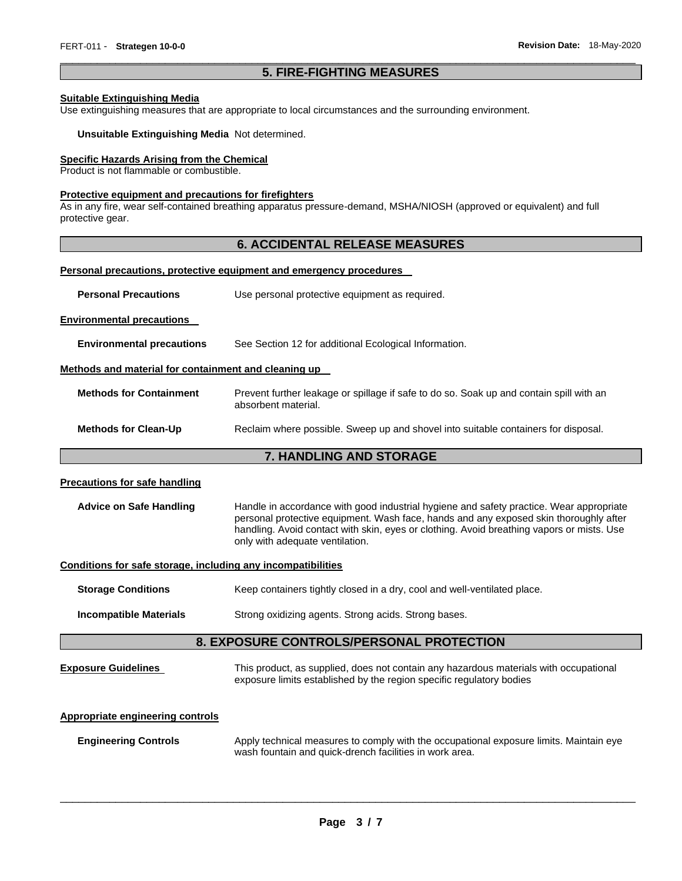#### \_\_\_\_\_\_\_\_\_\_\_\_\_\_\_\_\_\_\_\_\_\_\_\_\_\_\_\_\_\_\_\_\_\_\_\_\_\_\_\_\_\_\_\_\_\_\_\_\_\_\_\_\_\_\_\_\_\_\_\_\_\_\_\_\_\_\_\_\_\_\_\_\_\_\_\_\_\_\_\_\_\_\_\_\_\_\_\_\_\_\_\_\_ **5. FIRE-FIGHTING MEASURES**

#### **Suitable Extinguishing Media**

Use extinguishing measures that are appropriate to local circumstances and the surrounding environment.

#### **Unsuitable Extinguishing Media** Not determined.

#### **Specific Hazards Arising from the Chemical**

Product is not flammable or combustible.

#### **Protective equipment and precautions for firefighters**

As in any fire, wear self-contained breathing apparatus pressure-demand, MSHA/NIOSH (approved or equivalent) and full protective gear.

# **6. ACCIDENTAL RELEASE MEASURES**

#### **Personal precautions, protective equipment and emergency procedures**

| <b>Personal Precautions</b> | Use personal protective equipment as required. |  |
|-----------------------------|------------------------------------------------|--|
|-----------------------------|------------------------------------------------|--|

**Environmental precautions** 

**Environmental precautions** See Section 12 for additional Ecological Information.

#### **Methods and material for containment and cleaning up**

| <b>Methods for Containment</b> | Prevent further leakage or spillage if safe to do so. Soak up and contain spill with an<br>absorbent material. |
|--------------------------------|----------------------------------------------------------------------------------------------------------------|
| <b>Methods for Clean-Up</b>    | Reclaim where possible. Sweep up and shovel into suitable containers for disposal.                             |

#### **7. HANDLING AND STORAGE**

#### **Precautions for safe handling**

**Advice on Safe Handling** Handle in accordance with good industrial hygiene and safety practice. Wear appropriate personal protective equipment. Wash face, hands and any exposed skin thoroughly after handling. Avoid contact with skin, eyes or clothing. Avoid breathing vapors or mists. Use only with adequate ventilation.

### **Conditions for safe storage, including any incompatibilities**

**Storage Conditions Keep containers tightly closed in a dry, cool and well-ventilated place.** 

**Incompatible Materials** Strong oxidizing agents. Strong acids. Strong bases.

### **8. EXPOSURE CONTROLS/PERSONAL PROTECTION**

**Exposure Guidelines** This product, as supplied, does not contain any hazardous materials with occupational exposure limits established by the region specific regulatory bodies

#### **Appropriate engineering controls**

**Engineering Controls** Apply technical measures to comply with the occupational exposure limits. Maintain eye wash fountain and quick-drench facilities in work area.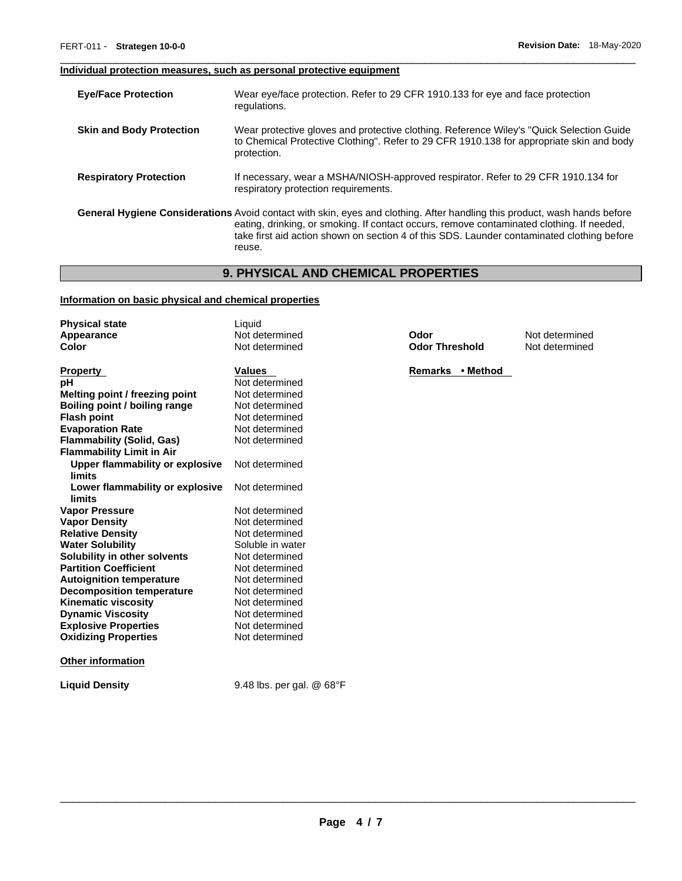# **Individual protection measures, such as personal protective equipment**

| <b>Eye/Face Protection</b>      | Wear eye/face protection. Refer to 29 CFR 1910.133 for eye and face protection<br>regulations.                                                                                                                                                                                                                                        |
|---------------------------------|---------------------------------------------------------------------------------------------------------------------------------------------------------------------------------------------------------------------------------------------------------------------------------------------------------------------------------------|
| <b>Skin and Body Protection</b> | Wear protective gloves and protective clothing. Reference Wiley's "Quick Selection Guide<br>to Chemical Protective Clothing". Refer to 29 CFR 1910.138 for appropriate skin and body<br>protection.                                                                                                                                   |
| <b>Respiratory Protection</b>   | If necessary, wear a MSHA/NIOSH-approved respirator. Refer to 29 CFR 1910.134 for<br>respiratory protection requirements.                                                                                                                                                                                                             |
|                                 | <b>General Hygiene Considerations</b> Avoid contact with skin, eyes and clothing. After handling this product, wash hands before<br>eating, drinking, or smoking. If contact occurs, remove contaminated clothing. If needed,<br>take first aid action shown on section 4 of this SDS. Launder contaminated clothing before<br>reuse. |

\_\_\_\_\_\_\_\_\_\_\_\_\_\_\_\_\_\_\_\_\_\_\_\_\_\_\_\_\_\_\_\_\_\_\_\_\_\_\_\_\_\_\_\_\_\_\_\_\_\_\_\_\_\_\_\_\_\_\_\_\_\_\_\_\_\_\_\_\_\_\_\_\_\_\_\_\_\_\_\_\_\_\_\_\_\_\_\_\_\_\_\_\_

# **9. PHYSICAL AND CHEMICAL PROPERTIES**

### **Information on basic physical and chemical properties**

**Liquid Density** 9.48 lbs. per gal. @ 68°F

| <b>Physical state</b>            | Liquid           |                       |                |
|----------------------------------|------------------|-----------------------|----------------|
| Appearance                       | Not determined   | Odor                  | Not determined |
| <b>Color</b>                     | Not determined   | <b>Odor Threshold</b> | Not determined |
|                                  |                  |                       |                |
| <b>Property</b>                  | <b>Values</b>    | Remarks • Method      |                |
| pН                               | Not determined   |                       |                |
| Melting point / freezing point   | Not determined   |                       |                |
| Boiling point / boiling range    | Not determined   |                       |                |
| <b>Flash point</b>               | Not determined   |                       |                |
| <b>Evaporation Rate</b>          | Not determined   |                       |                |
| <b>Flammability (Solid, Gas)</b> | Not determined   |                       |                |
| <b>Flammability Limit in Air</b> |                  |                       |                |
| Upper flammability or explosive  | Not determined   |                       |                |
| <b>limits</b>                    |                  |                       |                |
| Lower flammability or explosive  | Not determined   |                       |                |
| limits                           |                  |                       |                |
| <b>Vapor Pressure</b>            | Not determined   |                       |                |
| <b>Vapor Density</b>             | Not determined   |                       |                |
| <b>Relative Density</b>          | Not determined   |                       |                |
| <b>Water Solubility</b>          | Soluble in water |                       |                |
| Solubility in other solvents     | Not determined   |                       |                |
| <b>Partition Coefficient</b>     | Not determined   |                       |                |
| <b>Autoignition temperature</b>  | Not determined   |                       |                |
| <b>Decomposition temperature</b> | Not determined   |                       |                |
| <b>Kinematic viscosity</b>       | Not determined   |                       |                |
| <b>Dynamic Viscosity</b>         | Not determined   |                       |                |
| <b>Explosive Properties</b>      | Not determined   |                       |                |
| <b>Oxidizing Properties</b>      | Not determined   |                       |                |
| <b>Other information</b>         |                  |                       |                |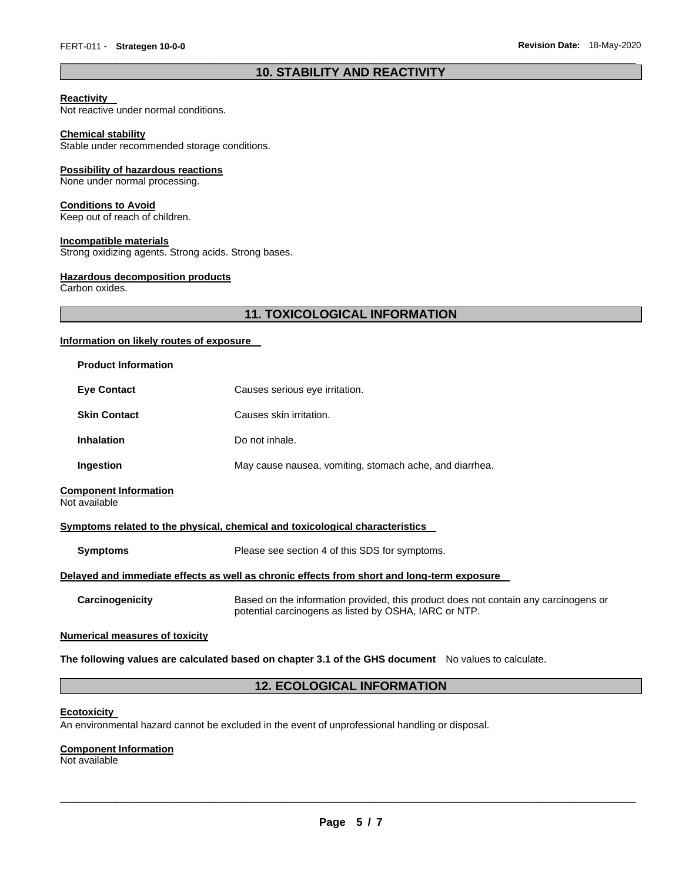# \_\_\_\_\_\_\_\_\_\_\_\_\_\_\_\_\_\_\_\_\_\_\_\_\_\_\_\_\_\_\_\_\_\_\_\_\_\_\_\_\_\_\_\_\_\_\_\_\_\_\_\_\_\_\_\_\_\_\_\_\_\_\_\_\_\_\_\_\_\_\_\_\_\_\_\_\_\_\_\_\_\_\_\_\_\_\_\_\_\_\_\_\_ **10. STABILITY AND REACTIVITY**

#### **Reactivity**

Not reactive under normal conditions.

#### **Chemical stability**

Stable under recommended storage conditions.

#### **Possibility of hazardous reactions**

None under normal processing.

#### **Conditions to Avoid**

Keep out of reach of children.

#### **Incompatible materials**

Strong oxidizing agents. Strong acids. Strong bases.

#### **Hazardous decomposition products**

Carbon oxides.

# **11. TOXICOLOGICAL INFORMATION**

#### **Information on likely routes of exposure**

| <b>Product Information</b>                    |                                                                                                                                              |
|-----------------------------------------------|----------------------------------------------------------------------------------------------------------------------------------------------|
| <b>Eye Contact</b>                            | Causes serious eye irritation.                                                                                                               |
| <b>Skin Contact</b>                           | Causes skin irritation.                                                                                                                      |
| <b>Inhalation</b>                             | Do not inhale.                                                                                                                               |
| Ingestion                                     | May cause nausea, vomiting, stomach ache, and diarrhea.                                                                                      |
| <b>Component Information</b><br>Not available |                                                                                                                                              |
|                                               | Symptoms related to the physical, chemical and toxicological characteristics                                                                 |
| <b>Symptoms</b>                               | Please see section 4 of this SDS for symptoms.                                                                                               |
|                                               | Delayed and immediate effects as well as chronic effects from short and long-term exposure                                                   |
| Carcinogenicity                               | Based on the information provided, this product does not contain any carcinogens or<br>potential carcinogens as listed by OSHA, IARC or NTP. |
| <b>Numerical measures of toxicity</b>         |                                                                                                                                              |
|                                               |                                                                                                                                              |

#### **The following values are calculated based on chapter 3.1 of the GHS document** No values to calculate.

# **12. ECOLOGICAL INFORMATION**

#### **Ecotoxicity**

An environmental hazard cannot be excluded in the event of unprofessional handling or disposal.

#### **Component Information**

Not available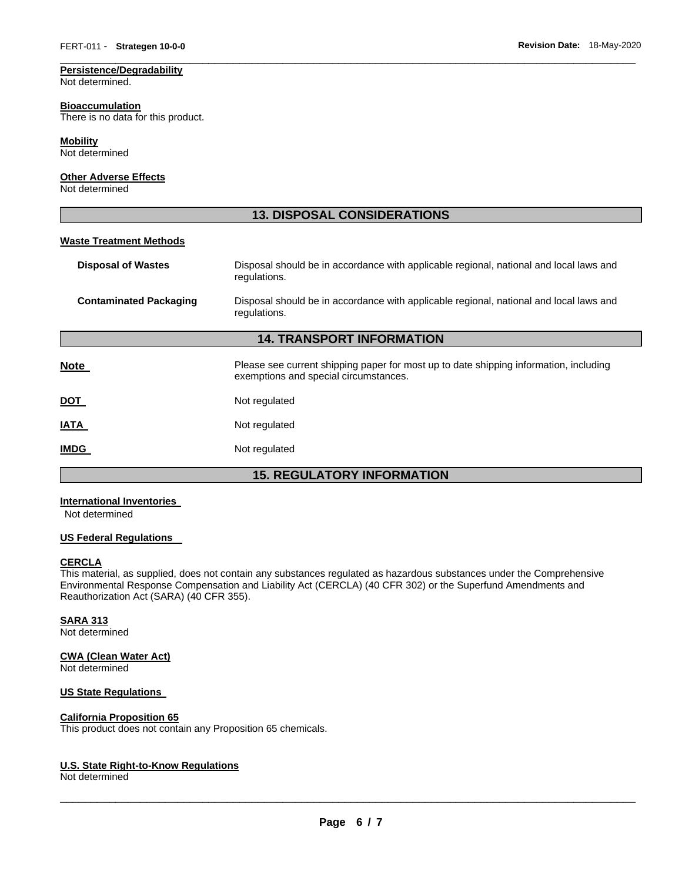#### **Persistence/Degradability**

Not determined.

#### **Bioaccumulation**

There is no data for this product.

### **Mobility**

Not determined

# **Other Adverse Effects**

Not determined

# **13. DISPOSAL CONSIDERATIONS**

\_\_\_\_\_\_\_\_\_\_\_\_\_\_\_\_\_\_\_\_\_\_\_\_\_\_\_\_\_\_\_\_\_\_\_\_\_\_\_\_\_\_\_\_\_\_\_\_\_\_\_\_\_\_\_\_\_\_\_\_\_\_\_\_\_\_\_\_\_\_\_\_\_\_\_\_\_\_\_\_\_\_\_\_\_\_\_\_\_\_\_\_\_

#### **Waste Treatment Methods**

| <b>Disposal of Wastes</b>        | Disposal should be in accordance with applicable regional, national and local laws and<br>regulations.                         |  |  |
|----------------------------------|--------------------------------------------------------------------------------------------------------------------------------|--|--|
| <b>Contaminated Packaging</b>    | Disposal should be in accordance with applicable regional, national and local laws and<br>regulations.                         |  |  |
| <b>14. TRANSPORT INFORMATION</b> |                                                                                                                                |  |  |
| <b>Note</b>                      | Please see current shipping paper for most up to date shipping information, including<br>exemptions and special circumstances. |  |  |
| <u>DOT</u>                       | Not regulated                                                                                                                  |  |  |
| <b>IATA</b>                      | Not regulated                                                                                                                  |  |  |
| <b>IMDG</b>                      | Not regulated                                                                                                                  |  |  |
|                                  |                                                                                                                                |  |  |

# **15. REGULATORY INFORMATION**

# **International Inventories**

Not determined

#### **US Federal Regulations**

#### **CERCLA**

This material, as supplied, does not contain any substances regulated as hazardous substances under the Comprehensive Environmental Response Compensation and Liability Act (CERCLA) (40 CFR 302) or the Superfund Amendments and Reauthorization Act (SARA) (40 CFR 355).

# **SARA 313**

Not determined

#### **CWA (Clean Water Act)**

Not determined

# **US State Regulations**

### **California Proposition 65**

This product does not contain any Proposition 65 chemicals.

### **U.S. State Right-to-Know Regulations**

Not determined